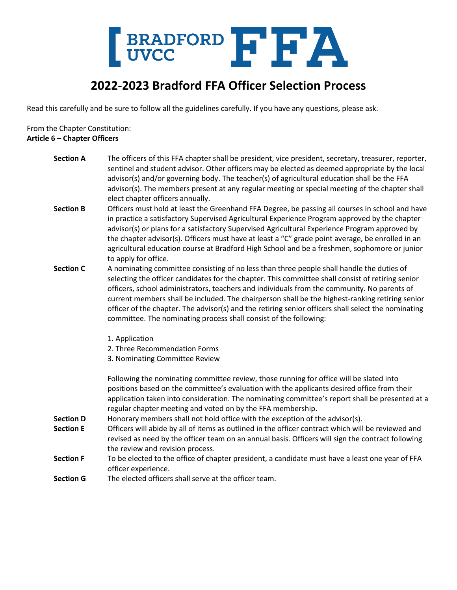

## **2022-2023 Bradford FFA Officer Selection Process**

Read this carefully and be sure to follow all the guidelines carefully. If you have any questions, please ask.

From the Chapter Constitution: **Article 6 – Chapter Officers**

| <b>Section A</b> | The officers of this FFA chapter shall be president, vice president, secretary, treasurer, reporter,<br>sentinel and student advisor. Other officers may be elected as deemed appropriate by the local<br>advisor(s) and/or governing body. The teacher(s) of agricultural education shall be the FFA<br>advisor(s). The members present at any regular meeting or special meeting of the chapter shall<br>elect chapter officers annually.                                                                                                                                  |
|------------------|------------------------------------------------------------------------------------------------------------------------------------------------------------------------------------------------------------------------------------------------------------------------------------------------------------------------------------------------------------------------------------------------------------------------------------------------------------------------------------------------------------------------------------------------------------------------------|
| <b>Section B</b> | Officers must hold at least the Greenhand FFA Degree, be passing all courses in school and have<br>in practice a satisfactory Supervised Agricultural Experience Program approved by the chapter<br>advisor(s) or plans for a satisfactory Supervised Agricultural Experience Program approved by<br>the chapter advisor(s). Officers must have at least a "C" grade point average, be enrolled in an<br>agricultural education course at Bradford High School and be a freshmen, sophomore or junior<br>to apply for office.                                                |
| <b>Section C</b> | A nominating committee consisting of no less than three people shall handle the duties of<br>selecting the officer candidates for the chapter. This committee shall consist of retiring senior<br>officers, school administrators, teachers and individuals from the community. No parents of<br>current members shall be included. The chairperson shall be the highest-ranking retiring senior<br>officer of the chapter. The advisor(s) and the retiring senior officers shall select the nominating<br>committee. The nominating process shall consist of the following: |
|                  | 1. Application                                                                                                                                                                                                                                                                                                                                                                                                                                                                                                                                                               |
|                  | 2. Three Recommendation Forms<br>3. Nominating Committee Review                                                                                                                                                                                                                                                                                                                                                                                                                                                                                                              |
|                  | Following the nominating committee review, those running for office will be slated into<br>positions based on the committee's evaluation with the applicants desired office from their<br>application taken into consideration. The nominating committee's report shall be presented at a<br>regular chapter meeting and voted on by the FFA membership.                                                                                                                                                                                                                     |
| <b>Section D</b> | Honorary members shall not hold office with the exception of the advisor(s).                                                                                                                                                                                                                                                                                                                                                                                                                                                                                                 |
| <b>Section E</b> | Officers will abide by all of items as outlined in the officer contract which will be reviewed and                                                                                                                                                                                                                                                                                                                                                                                                                                                                           |
|                  | revised as need by the officer team on an annual basis. Officers will sign the contract following                                                                                                                                                                                                                                                                                                                                                                                                                                                                            |
|                  | the review and revision process.                                                                                                                                                                                                                                                                                                                                                                                                                                                                                                                                             |
| <b>Section F</b> | To be elected to the office of chapter president, a candidate must have a least one year of FFA<br>officer experience.                                                                                                                                                                                                                                                                                                                                                                                                                                                       |
| <b>Section G</b> | The elected officers shall serve at the officer team.                                                                                                                                                                                                                                                                                                                                                                                                                                                                                                                        |